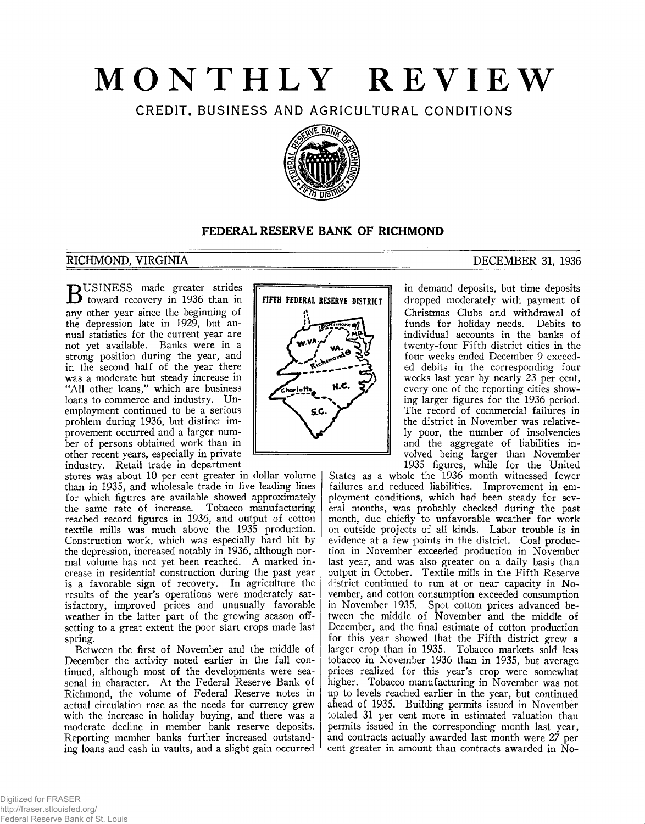# **MONTHLY REVIEW**

**CREDIT, BUSINESS AND AGRICULTURAL CONDITIONS**



# **FEDERAL RESERVE BANK OF RICHMOND**

# **RICHMOND, VIRGINIA**

USINESS made greater strides **b** toward recovery in 1936 than in any other year since the beginning of the depression late in 1929, but annual statistics for the current year are not yet available. Banks were in a strong position during the year, and in the second half of the year there was a moderate but steady increase in "All other loans/' which are business loans to commerce and industry. Unemployment continued to be a serious problem during 1936, but distinct improvement occurred and a larger number of persons obtained work than in other recent years, especially in private industry. Retail trade in department

stores was about 10 per cent greater in dollar volume than in 1935, and wholesale trade in five leading lines for which figures are available showed approximately the same rate of increase. Tobacco manufacturing reached record figures in 1936, and output of cotton textile mills was much above the 1935 production. Construction work, which was especially hard hit by the depression, increased notably in 1936, although normal volume has not yet been reached. A marked increase in residential construction during the past year is a favorable sign of recovery. In agriculture the results of the year's operations were moderately satisfactory, improved prices and unusually favorable weather in the latter part of the growing season offsetting to a great extent the poor start crops made last spring.

Between the first of November and the middle of December the activity noted earlier in the fall continued, although most of the developments were seasonal in character. At the Federal Reserve Bank of Richmond, the volume of Federal Reserve notes in actual circulation rose as the needs for currency grew with the increase in holiday buying, and there was a moderate decline in member bank reserve deposits. Reporting member banks further increased outstanding loans and cash in vaults, and a slight gain occurred



# **DECEMBER 31, 1936**

in demand deposits, but time deposits dropped moderately with payment of Christmas Clubs and withdrawal ot funds for holiday needs. Debits to individual accounts in the banks of twenty-four Fifth district cities in the four weeks ended December 9 exceeded debits in the corresponding four weeks last year by nearly 23 per cent, every one of the reporting cities showing larger figures for the 1936 period. The record of commercial failures in the district in November was relatively poor, the number of insolvencies and the aggregate of liabilities involved being larger than November 1935 figures, while for the United

States as a whole the 1936 month witnessed fewer failures and reduced liabilities. Improvement in employment conditions, which had been steady for several months, was probably checked during the past month, due chiefly to unfavorable weather for work on outside projects of all kinds. Labor trouble is in evidence at a few points in the district. Coal production in November exceeded production in November last year, and was also greater on a daily basis than output in October. Textile mills in the Fifth Reserve district continued to run at or near capacity in November, and cotton consumption exceeded consumption in November 1935. Spot cotton prices advanced between the middle of November and the middle of December, and the final estimate of cotton production for this year showed that the Fifth district grew a larger crop than in 1935. Tobacco markets sold less tobacco in November 1936 than in 1935, but average prices realized for this year's crop were somewhat higher. Tobacco manufacturing in November was not up to levels reached earlier in the year, but continued ahead of 1935. Building permits issued in November totaled 31 per cent more in estimated valuation than permits issued in the corresponding month last year, and contracts actually awarded last month were 27 per cent greater in amount than contracts awarded in No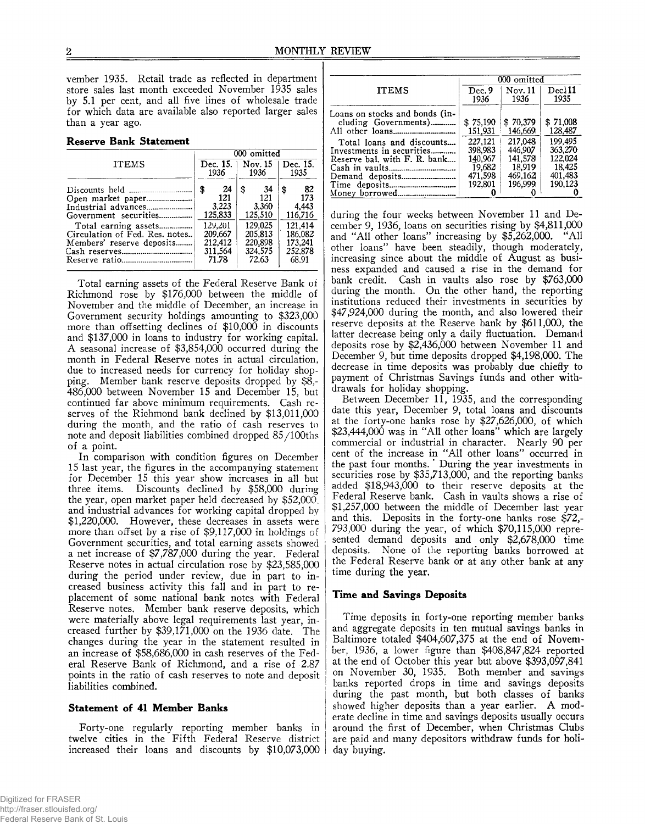vember 1935. Retail trade as reflected in department store sales last month exceeded November 1935 sales by 5.1 per cent, and all five lines of wholesale trade for which data are available also reported larger sales than a year ago.

|  |  | <b>Reserve Bank Statement</b> |
|--|--|-------------------------------|
|--|--|-------------------------------|

|                                                                                                                                     | 000 omitted         |                                                                                      |      |                                                                                    |                                 |                                                                                    |
|-------------------------------------------------------------------------------------------------------------------------------------|---------------------|--------------------------------------------------------------------------------------|------|------------------------------------------------------------------------------------|---------------------------------|------------------------------------------------------------------------------------|
| <b>ITEMS</b>                                                                                                                        | Dec. $15.1$<br>1936 |                                                                                      | 1936 |                                                                                    | Nov. $15 \mid$ Dec. 15.<br>1935 |                                                                                    |
| Industrial advances<br>Government securities<br>Total earning assets<br>Circulation of Fed. Res. notes<br>Members' reserve deposits |                     | - 24<br>121<br>3.223<br>125,833<br>129.201<br>209.667<br>212.412<br>311.564<br>71.78 | \$   | 34<br>121<br>3,360<br>125,510<br>129,025<br>205.813<br>220,898<br>324.575<br>72.63 | \$                              | 82<br>173<br>4.443<br>116,716<br>121.414<br>186.082<br>173.241<br>252.878<br>68.91 |

Total earning assets of the Federal Reserve Bank of Richmond rose by \$176,000 between the middle of November and the middle of December, an increase in Government security holdings amounting to \$323,000 more than offsetting declines of  $$10,000$  in discounts and \$137,000 in loans to industry for working capital. A seasonal increase of \$3,854,000 occurred during the month in Federal Reserve notes in actual circulation, due to increased needs for currency for holiday shopping. Member bank reserve deposits dropped by \$8,- 486,000 between November 15 and December 15, but continued far above minimum requirements. Cash reserves of the Richmond bank declined by \$13,011,000 during the month, and the ratio of cash reserves to note and deposit liabilities combined dropped 85/100ths of a point.

In comparison with condition figures on December 15 last year, the figures in the accompanying statement for December 15 this year show increases in all but three items. Discounts declined by \$58,000 during the year, open market paper held decreased by \$52,000. and industrial advances for working capital dropped by \$1,220,000. However, these decreases in assets were more than offset by a rise of \$9,117,000 in holdings of Government securities, and total earning assets showed a net increase of \$7,787,000 during the year. Federal Reserve notes in actual circulation rose by \$23,585,000 during the period under review, due in part to increased business activity this fall and in part to replacement of some national bank notes with Federal Reserve notes. Member bank reserve deposits, which were materially above legal requirements last year, increased further by  $$39,171,000$  on the 1936 date. The changes during the year in the statement resulted in an increase of \$58,686,000 in cash reserves of the Federal Reserve Bank of Richmond, and a rise of 2.87 points in the ratio of cash reserves to note and deposit liabilities combined.

## **Statement of 41 Member Banks**

Forty-one regularly reporting member banks in twelve cities in the Fifth Federal Reserve district increased their loans and discounts by \$10,073,000

|                                                        | 000 omitted |          |          |  |  |  |
|--------------------------------------------------------|-------------|----------|----------|--|--|--|
| <b>ITEMS</b>                                           | Dec.9       | Nov. 11  | Dec.111  |  |  |  |
|                                                        | 1936        | 1936     | 1935     |  |  |  |
| Loans on stocks and bonds (in-<br>cluding Governments) | \$75.190    | \$70.379 | \$71,008 |  |  |  |
|                                                        | 151,931     | 146,669  | 128,487  |  |  |  |
| Total loans and discounts                              | 227,121     | 217,048  | 199.495  |  |  |  |
| Investments in securities                              | 398.983     | 446.907  | 363.270  |  |  |  |
| Reserve bal. with F. R. bank                           | 140,967     | 141.578  | 122.024  |  |  |  |
|                                                        | 19,682      | 18.919   | 18.425   |  |  |  |
|                                                        | 471.598     | 469.162  | 401.483  |  |  |  |
|                                                        | 192.801     | 196.999  | 190,123  |  |  |  |
|                                                        |             |          |          |  |  |  |

during the four weeks between November 11 and December 9, 1936, loans on securities rising by \$4,811,000 and "All other loans" increasing by \$5,262,000. "All other loans" have been steadily, though moderately, increasing since about the middle of August as business expanded and caused a rise in the demand for bank credit. Cash in vaults also rose by \$763,000 during the month. On the other hand, the reporting institutions reduced their investments in securities by \$47,924,000 during the month, and also lowered their reserve deposits at the Reserve bank by \$611,000, the latter decrease being only a daily fluctuation. Demand deposits rose by \$2,436,000 between November 11 and December 9, but time deposits dropped \$4,198,000. The decrease in time deposits was probably due chiefly to payment of Christmas Savings funds and other withdrawals for holiday shopping.

Between December 11, 1935, and the corresponding date this year, December 9, total loans and discounts at the forty-one banks rose by \$27,626,000, of which \$23,444,000 was in "All other loans" which are largely commercial or industrial in character. Nearly 90 per cent of the increase in "All other loans" occurred in the past four months.' During the year investments in securities rose by \$35,713,000, and the reporting banks added \$18,943,000 to their reserve deposits at the Federal Reserve bank. Cash in vaults shows a rise of \$1,257,000 between the middle of December last year and this. Deposits in the forty-one banks rose \$72,- 793,000 during the year, of which \$70,115,000 represented demand deposits and only \$2,678,000 time deposits. None of the reporting banks borrowed at the Federal Reserve bank or at any other bank at any time during the year.

### **Time and Savings Deposits**

Time deposits in forty-one reporting member banks and aggregate deposits in ten mutual savings banks in Baltimore totaled \$404,607,375 at the end of November, 1936, a lower figure than \$408,847,824 reported at the end of October this year but above \$393,097,841 on November 30, 1935. Both member and savings banks reported drops in time and savings deposits during the past month, but both classes of banks showed higher deposits than a year earlier. A moderate decline in time and savings deposits usually occurs around the first of December, when Christmas Clubs are paid and many depositors withdraw funds for holiday buying.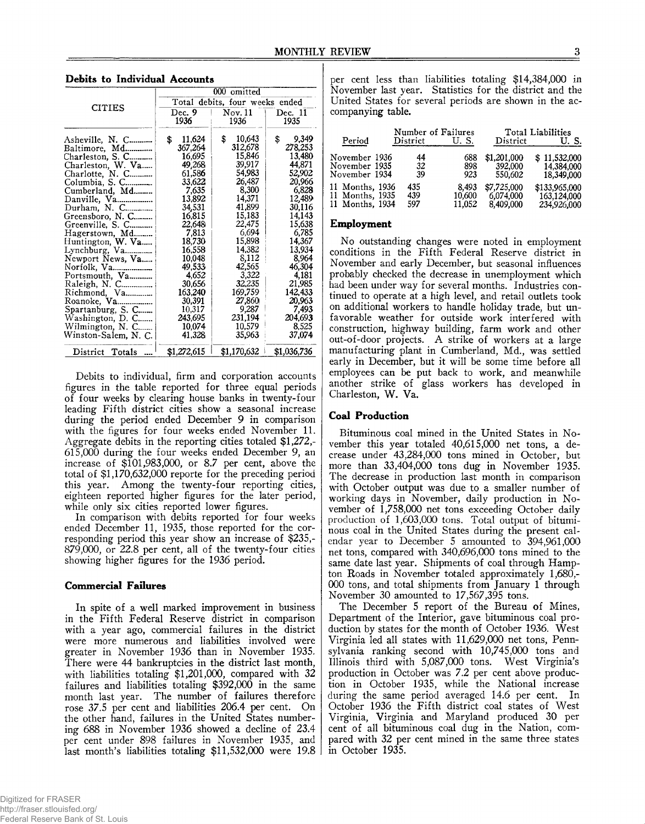|                                                                                                                                                                                                                                                                                                                                                                                                                                              | 000 omitted                                                                                                                                                                                                                                        |                                                                                                                                                                                                                                                  |                                                                                                                                                                                                                                                |  |  |  |
|----------------------------------------------------------------------------------------------------------------------------------------------------------------------------------------------------------------------------------------------------------------------------------------------------------------------------------------------------------------------------------------------------------------------------------------------|----------------------------------------------------------------------------------------------------------------------------------------------------------------------------------------------------------------------------------------------------|--------------------------------------------------------------------------------------------------------------------------------------------------------------------------------------------------------------------------------------------------|------------------------------------------------------------------------------------------------------------------------------------------------------------------------------------------------------------------------------------------------|--|--|--|
|                                                                                                                                                                                                                                                                                                                                                                                                                                              | Total debits, four weeks ended                                                                                                                                                                                                                     |                                                                                                                                                                                                                                                  |                                                                                                                                                                                                                                                |  |  |  |
| <b>CITIES</b>                                                                                                                                                                                                                                                                                                                                                                                                                                | Dec. 9<br>1936                                                                                                                                                                                                                                     | Now.11<br>1936                                                                                                                                                                                                                                   | Dec. 11<br>1935                                                                                                                                                                                                                                |  |  |  |
| Asheville, N. C<br>Baltimore, Md<br>Charleston, S. C<br>Charleston, W. Va<br>Charlotte, $N$ . C<br>Columbia, S. C<br>Cumberland, Md<br>Danville, Va<br>Durham, N. C<br>Greensboro, N. C<br>Greenville, S. C<br>Hagerstown, Md<br>Huntington, W. Va<br>Newport News, Va<br>Norfolk, Va<br>Portsmouth, Va<br>Raleigh, N. C<br>Richmond, Va<br>Roanoke. Va<br>Spartanburg, S. C<br>Washington, D. C<br>Wilmington, N. C<br>Winston-Salem, N. C. | \$<br>11,624<br>367.264<br>16,695<br>49,268<br>61,586<br>33,622<br>7,635<br>13,892<br>34,531<br>16,815<br>22,648<br>7.813<br>18,730<br>16.558<br>10,048<br>49,533<br>4.652<br>30,656<br>163,240<br>30,391<br>10,317<br>243.695<br>10.074<br>41,328 | \$<br>10,643<br>312,678<br>15,846<br>39,917<br>54.983<br>26,487<br>8,300<br>14,371<br>41,899<br>15,183<br>22,475<br>6.694<br>15,898<br>14.382<br>8,112<br>42,565<br>3,322<br>32,235<br>169,759<br>27,860<br>9,287<br>231,194<br>10,579<br>35,963 | \$<br>9,349<br>278.253<br>13.480<br>44,871<br>52,902<br>20,966<br>6,828<br>12,489<br>30,116<br>14,143<br>15.638<br>6,785<br>14.367<br>13,934<br>8,964<br>46,304<br>4,181<br>21,985<br>142,433<br>20.963<br>7,493<br>204.693<br>8.525<br>37,074 |  |  |  |
| District Totals                                                                                                                                                                                                                                                                                                                                                                                                                              | \$1,272,615                                                                                                                                                                                                                                        | \$1,170,632                                                                                                                                                                                                                                      | \$1,036,736                                                                                                                                                                                                                                    |  |  |  |

**Debits to Individual Accounts**

Debits to individual, firm and corporation accounts figures in the table reported for three equal periods of four weeks by clearing house banks in twenty-four leading Fifth district cities show a seasonal increase during the period ended December 9 in comparison with the figures for four weeks ended November 11. Aggregate debits in the reporting cities totaled \$1,272,- 615,000 during the four weeks ended December 9, an increase of \$101,983,000, or 8.7 per cent, above the total of \$1,170,632,000 reporte for the preceding period this year. Among the twenty-four reporting cities, eighteen reported higher figures for the later period, while only six cities reported lower figures.

In comparison with debits reported for four weeks ended December 11, 1935, those reported for the corresponding period this year show an increase of \$235,- 879,000, or 22.8 per cent, all of the twenty-four cities showing higher figures for the 1936 period.

## **Commercial Failures**

In spite of a well marked improvement in business in the Fifth Federal Reserve district in comparison with a year ago, commercial failures in the district were more numerous and liabilities involved were greater in November 1936 than in November 1935, There were 44 bankruptcies in the district last month, with liabilities totaling \$1,201,000, compared with 32 failures and liabilities totaling \$392,000 in the same month last year. The number of failures therefore rose 37.5 per cent and liabilities 206.4 per cent. On the other hand, failures in the United States numbering 688 in November 1936 showed a decline of 23.4 per cent under 898 failures in November 1935, and last month's liabilities totaling \$11,532,000 were 19.8 per cent less than liabilities totaling \$14,384,000 in November last year. Statistics for the district and the United States for several periods are shown in the accompanying table.

| Period          | Number of Failures<br>District | U.S.   | District    | Total Liabilities<br>U.S. |
|-----------------|--------------------------------|--------|-------------|---------------------------|
| November 1936   | 44                             | 688    | \$1,201,000 | \$11,532,000              |
| November 1935   | 32                             | 898    | 392,000     | 14,384,000                |
| November 1934   | 39                             | 923    | 550,602     | 18,349,000                |
| 11 Months, 1936 | 435                            | 8.493  | \$7,725,000 | \$133,965,000             |
| 11 Months, 1935 | 439                            | 10,600 | 6.074.000   | 163,124,000               |
| 11 Months, 1934 | 597                            | 11.052 | 8,409,000   | 234,926,000               |

#### **Employment**

No outstanding changes were noted in employment conditions in the Fifth Federal Reserve district in November and early December, but seasonal influences probably checked the decrease in unemployment which had been under way for several months. Industries continued to operate at a high level, and retail outlets took on additional workers to handle holiday trade, but unfavorable weather for outside work interfered with construction, highway building, farm work and other out-of-door projects. A strike of workers at a large manufacturing plant in Cumberland, Md., was settled early in December, but it will be some time before all employees can be put back to work, and meanwhile another strike of glass workers has developed in Charleston, W. Va.

#### **Coal Production**

Bituminous coal mined in the United States in November this year totaled 40,615,000 net tons, a decrease under 43,284,000 tons mined in October, but more than 33,404,000 tons dug in November 1935. The decrease in production last month in comparison with October output was due to a smaller number of working days in November, daily production in November of 1,758,000 net tons exceeding October daily production of 1,603,000 tons. Total output of bituminous coal in the United States during the present calendar year to December 5 amounted to 394,961,000 net tons, compared with 340,696,000 tons mined to the same date last year. Shipments of coal through Hampton Roads in November totaled approximately 1,680,- 000 tons, and total shipments from January 1 through November 30 amounted to 17,567,395 tons.

The December 5 report of the Bureau of Mines, Department of the Interior, gave bituminous coal production by states for the month of October 1936. West Virginia led all states with 11,629,000 net tons, Pennsylvania ranking second with 10,745,000 tons and Illinois third with 5,087,000 tons. West Virginia's production in October was 7.2 per cent above production in October 1935, while the National increase during the same period averaged 14.6 per cent. In October 1936 the Fifth district coal states of West Virginia, Virginia and Maryland produced 30 per cent of all bituminous coal dug in the Nation, compared with 32 per cent mined in the same three states in October 1935.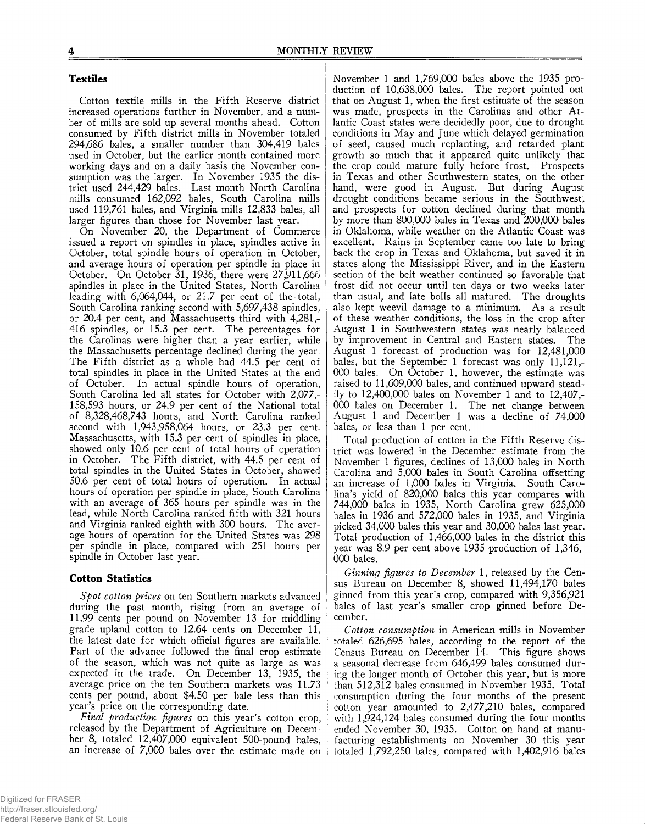# **Textiles**

Cotton textile mills in the Fifth Reserve district increased operations further in November, and a number of mills are sold up several months ahead. Cotton consumed by Fifth district mills in November totaled 294,686 bales, a smaller number than 304,419 bales used in October, but the earlier month contained more working days and on a daily basis the November consumption was the larger. In November 1935 the district used 244,429 bales. Last month North Carolina mills consumed 162,092 bales, South Carolina mills used 119,761 bales, and Virginia mills 12,833 bales, all larger figures than those for November last year.

On November 20, the Department of Commerce issued a report on spindles in place, spindles active in October, total spindle hours of operation in October, and average hours of operation per spindle in place in October. On October 31, 1936, there were 27,911,666 spindles in place in the United States, North Carolina leading with 6,064,044, or 21.7 per cent of the total, South Carolina ranking second with 5,697,438 spindles, or 20.4 per cent, and Massachusetts third with 4,281,- 416 spindles, or 15.3 per cent. The percentages for the Carolinas were higher than a year earlier, while the Massachusetts percentage declined during the year. The Fifth district as a whole had 44.5 per cent of total spindles in place in the United States at the end of October. In actual spindle hours of operation, South Carolina led all states for October with 2,077,- 158,593 hours, or 24.9 per cent of the National total of 8,328,468,743 hours, and North Carolina ranked second with 1,943,958,064 hours, or 23.3 per cent. Massachusetts, with 15.3 per cent of spindles in place, showed only 10.6 per cent of total hours of operation in October. The Fifth district, with 44.5 per cent of total spindles in the United States in October, showed 50.6 per cent of total hours of operation. In actual hours of operation per spindle in place, South Carolina with an average of 365 hours per spindle was in the lead, while North Carolina ranked fifth with 321 hours and Virginia ranked eighth with 300 hours. The average hours of operation for the United States was 298 per spindle in place, compared with 251 hours per spindle in October last year.

## **Cotton Statistics**

*Spot cotton prices* on ten Southern markets advanced during the past month, rising from an average of 11.99 cents per pound on November 13 for middling grade upland cotton to 12.64 cents on December 11, the latest date for which official figures are available. Part of the advance followed the final crop estimate of the season, which was not quite as large as was expected in the trade. On December 13, 1935, the average price on the ten Southern markets was 11.73 cents per pound, about \$4.50 per bale less than this year's price on the corresponding date.

*Final production figures* on this year's cotton crop, released by the Department of Agriculture on December 8, totaled 12,407,000 equivalent 500-pound bales, an increase of 7,000 bales over the estimate made on

November 1 and 1,769,000 bales above the 1935 production of 10,638,000 bales. The report pointed out that on August 1, when the first estimate of the season was made, prospects in the Carolinas and other Atlantic Coast states were decidedly poor, due to drought conditions in May and June which delayed germination of seed, caused much replanting, and retarded plant growth so much that it appeared quite unlikely that the crop could mature fully before frost. Prospects in Texas and other Southwestern states, on the other hand, were good in August. But during August drought conditions became serious in the Southwest, and prospects for cotton declined during that month by more than 800,000 bales in Texas and 200,000 bales in Oklahoma, while weather on the Atlantic Coast was excellent. Rains in September came too late to bring back the crop in Texas and Oklahoma, but saved it in states along the Mississippi River, and in the Eastern section of the belt weather continued so favorable that frost did not occur until ten days or two weeks later than usual, and late bolls all matured. The droughts also kept weevil damage to a minimum. As a result of these weather conditions, the loss in the crop after August 1 in Southwestern states was nearly balanced by improvement in Central and Eastern states. The August 1 forecast of production was for 12,481,000 bales, but the September 1 forecast was only 11,121,- 000 bales. On October 1, however, the estimate was raised to 11,609,000 bales, and continued upward steadily to 12,400,000 bales on November 1 and to 12,407,- 000 bales on December 1. The net change between August 1 and December 1 was a decline of 74,000 bales, or less than 1 per cent.

Total production of cotton in the Fifth Reserve district was lowered in the December estimate from the November 1 figures, declines of 13,000 bales in North Carolina and 5,000 bales in South Carolina offsetting an increase of 1,000 bales in Virginia. South Carolina's yield of 820,000 bales this year compares with 744,000 bales in 1935, North Carolina grew 625,000 bales in 1936 and 572,000 bales in 1935, and Virginia picked 34,000 bales this year and 30,000 bales last year. Total production of 1,466,000 bales in the district this year was 8.9 per cent above 1935 production of 1,346,- 000 bales.

*Ginning figures to December* 1, released by the Census Bureau on December 8, showed 11,494,170 bales ginned from this year's crop, compared with 9,356,921 bales of last year's smaller crop ginned before December.

*Cotton consumption* in American mills in November totaled 626,695 bales, according to the report of the Census Bureau on December 14. This figure shows a seasonal decrease from 646,499 bales consumed during the longer month of October this year, but is more than 512,312 bales consumed in November 1935. Total consumption during the four months of the present cotton year amounted to 2,477,210 bales, compared with 1,924,124 bales consumed during the four months ended November 30, 1935. Cotton on hand at manufacturing establishments on November 30 this year totaled  $1,792,250$  bales, compared with 1,402,916 bales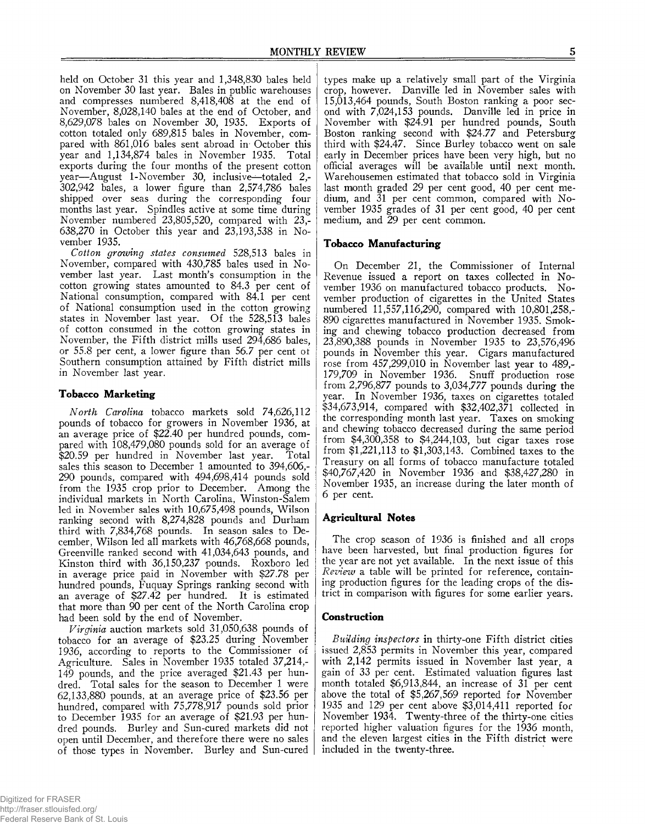held on October 31 this year and 1,348,830 bales held on November 30 last year. Bales in public warehouses and compresses numbered 8,418,408 at the end of November, 8,028,140 bales at the end of October, and 8,629,078 bales on November 30, 1935. Exports of cotton totaled only 689,815 bales in November, compared with 861,016 bales sent abroad in October this year and 1,134,874 bales in November 1935. Total exports during the four months of the present cotton year—August 1-November 30, inclusive^—totaled 2,- 302,942 bales, a lower figure than 2,574,786 bales shipped over seas during the corresponding four months last year. Spindles active at some time during November numbered 23,805,520, compared with 23,- 638,270 in October this year and 23,193,538 in November 1935.

*Cotton growing states consumed* 528,513 bales in November, compared with 430,785 bales used in November last year. Last month's consumption in the cotton growing states amounted to 84.3 per cent of National consumption, compared with 84.1 per cent of National consumption used in the cotton growing states in November last year. Of the 528,513 bales of cotton consumed in the cotton growing states in November, the Fifth district mills used 294,686 bales, or 55.8 per cent, a lower figure than 56.7 per cent of Southern consumption attained by Fifth district mills in November last year.

## **Tobacco Marketing**

*North Carolina* tobacco markets sold 74,626,112 pounds of tobacco for growers in November 1936, at an average price of \$22.40 per hundred pounds, compared with 108,479,080 pounds sold for an average of \$20.59 per hundred in November last year. Total sales this season to December 1 amounted to 394,606,- 290 pounds, compared with 494,698,414 pounds sold from the 1935 crop prior to December. Among the individual markets in North Carolina, Winston-Salem led in November sales with 10,675,498 pounds, Wilson ranking second with 8,274,828 pounds and Durham third with 7,834,768 pounds. In season sales to December, Wilson led all markets with 46,768,668 pounds, Greenville ranked second with 41,034,643 pounds, and Kinston third with 36,150,237 pounds. Roxboro led in average price paid in November with \$27.78 per hundred pounds, Fuquay Springs ranking second with an average of \$27.42 per hundred. It is estimated that more than 90 per cent of the North Carolina crop had been sold by the end of November.

*Virginia* auction markets sold 31,050,638 pounds of tobacco for an average of \$23.25 during November 1936, according to reports to the Commissioner of Agriculture. Sales in November 1935 totaled 37,214,- 149 pounds, and the price averaged \$21.43 per hundred. Total sales for the season to December 1 were 62,133,880 pounds, at an average price of \$23.56 per hundred, compared with 75,778,917 pounds sold prior to December 1935 for an average of \$21.93 per hundred pounds. Burley and Sun-cured markets did not open until December, and therefore there were no sales of those types in November. Burley and Sun-cured

types make up a relatively small part of the Virginia crop, however. Danville led in November sales with 15,013,464 pounds, South Boston ranking a poor second with 7,024,153 pounds. Danville led in price in November with \$24.91 per hundred pounds, South Boston ranking second with \$24.77 and Petersburg third with \$24.47. Since Burley tobacco went on sale early in December prices have been very high, but no official averages will be available until next month. Warehousemen estimated that tobacco sold in Virginia last month graded 29 per cent good, 40 per cent medium, and 31 per cent common, compared with November 1935 grades of 31 per cent good, 40 per cent medium, and 29 per cent common.

## **Tobacco Manufacturing**

On December 21, the Commissioner of Internal Revenue issued a report on taxes collected in November 1936 on manufactured tobacco products. November production of cigarettes in the United States numbered 11,557,116,290, compared with 10,801,258,- 890 cigarettes manufactured in November 1935. Smoking and chewing tobacco production decreased from 23,890,388 pounds in November 1935 to 23,576,496 pounds in November this year. Cigars manufactured rose from 457,299,010 in November last year to 489,- 179,709 in November 1936. Snuff production rose from 2,796,877 pounds to 3,034,777 pounds during the year. In November 1936, taxes on cigarettes totaled \$34,673,914, compared with \$32,402,371 collected in the corresponding month last year. Taxes on smoking and chewing tobacco decreased during the same period from \$4,300,358 to \$4,244,103, but cigar taxes rose from \$1,221,113 to \$1,303,143. Combined taxes to the Treasury on all forms of tobacco manufacture totaled \$40,767,420 in November 1936 and \$38,427,280 in November 1935, an increase during the later month of 6 per cent.

### **Agricultural Notes**

The crop season of 1936 is finished and all crops have been harvested, but final production figures for the year are not yet available. In the next issue of this *Review* a table will be printed for reference, containing production figures for the leading crops of the district in comparison with figures for some earlier years.

### **Construction**

*Building inspectors* in thirty-one Fifth district cities issued 2,853 permits in November this year, compared with 2,142 permits issued in November last year, a gain of 33 per cent. Estimated valuation figures last month totaled \$6,913,844, an increase of 31 per cent above the total of \$5,267,569 reported for November 1935 and 129 per cent above \$3,014,411 reported for November 1934. Twenty-three of the thirty-one cities reported higher valuation figures for the 1936 month, and the eleven largest cities in the Fifth district were included in the twenty-three.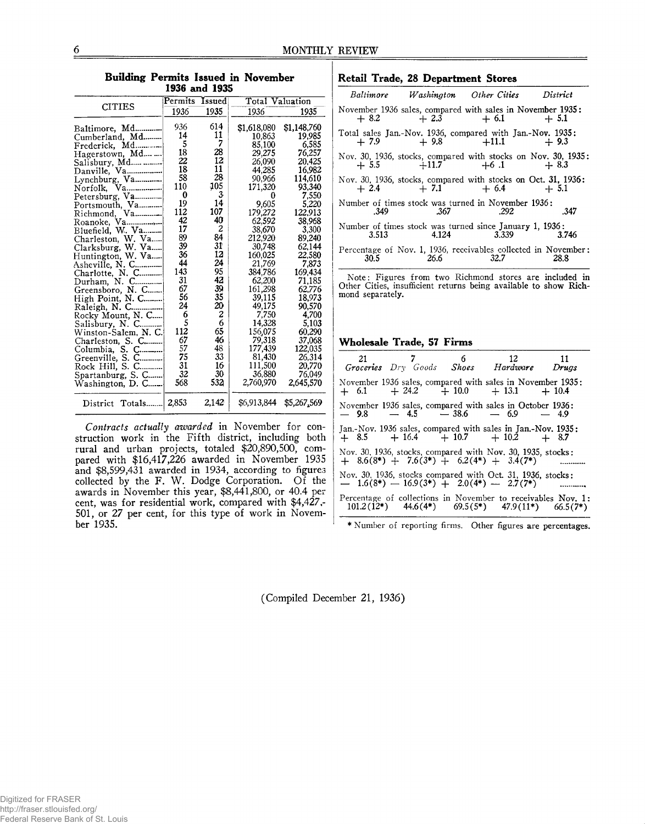| 1936 and 1935                           |          |          |                        |                  |  |  |  |  |  |
|-----------------------------------------|----------|----------|------------------------|------------------|--|--|--|--|--|
|                                         | Permits  | Issued   | <b>Total Valuation</b> |                  |  |  |  |  |  |
| <b>CITIES</b>                           | 1936     | 1935     | 1936                   | 1935             |  |  |  |  |  |
| Baltimore, Md                           | 936      | 614      | \$1,618,080            | \$1,148,760      |  |  |  |  |  |
| Cumberland, Md                          | 14       | 11       | 10,863                 | 19,985           |  |  |  |  |  |
| Frederick, Md                           | 5        | 7        | 85,100                 | 6,585            |  |  |  |  |  |
| Hagerstown, Md                          | 18       | 28       | 29,275                 | 76,257           |  |  |  |  |  |
| Salisbury, Md                           | 22       | 12       | 26,090                 | 20,425           |  |  |  |  |  |
| Danville, Va                            | 18       | 11       | 44,285                 | 16,982           |  |  |  |  |  |
| Lynchburg, Va                           | 58       | 28       | 90,966                 | 114.610          |  |  |  |  |  |
| Va<br>Norfolk.                          | 110      | 105      | 171,320                | 93,340           |  |  |  |  |  |
| Petersburg, Va                          | 0        | 3.       |                        | 7,550            |  |  |  |  |  |
| Portsmouth, Va                          | 19       | 14       | 9,605                  | 5,220            |  |  |  |  |  |
| Richmond, Va                            | 112      | 107      | 179,272                | 122.913          |  |  |  |  |  |
| Roanoke, Va                             | 42       | 40       | 62,592                 | 38.968           |  |  |  |  |  |
| Bluefield, W. Va                        | 17       | 2        | 38.670                 | 3,300            |  |  |  |  |  |
| Charleston, W. Va                       | 89       | 84       | 212,920                | 89,240           |  |  |  |  |  |
| Clarksburg, W. Va                       | 39       | 31<br>12 | 30,748                 | 62,144           |  |  |  |  |  |
| Huntington, W. Va                       | 36<br>44 | 24       | 160,025                | 22,580           |  |  |  |  |  |
| Asheville, N. C                         | 143      | 95       | 21,769                 | 7,873            |  |  |  |  |  |
| Charlotte, N. C                         | 31       | 42       | 384,786                | 169,434          |  |  |  |  |  |
| Durham, N. C                            | 67       | 39       | 62,200                 | 71.185<br>62,776 |  |  |  |  |  |
| Greensboro, N. C                        | 56       | 35       | 161,298<br>39,115      | 18,973           |  |  |  |  |  |
| High Point, N. C                        | 24       | 20       | 49,175                 | 90,570           |  |  |  |  |  |
| Raleigh, N. C                           | 6        | 2        | 7,750                  | 4,700            |  |  |  |  |  |
| Rocky Mount, N. C                       | 5        | 6        | 14,328                 | 5,103            |  |  |  |  |  |
| Salisbury, N. C<br>Winston-Salem, N. C. | 112      | 65       | 156,075                | 60,290           |  |  |  |  |  |
| Charleston, S. C                        | 67       | 46       | 79,318                 | 37,068           |  |  |  |  |  |
| Columbia, S. C                          | 57       | 48       | 177,439                | 122,035          |  |  |  |  |  |
| Greenville, S. C                        | 75       | 33       | 81,430                 | 26.314           |  |  |  |  |  |
| Rock Hill, S. C                         | 31       | 16       | 111,500                | 20,770           |  |  |  |  |  |
| Spartanburg, S. C                       | 32       | 30       | 36.880                 | 76,049           |  |  |  |  |  |
| Washington, D. C                        | 568      | 532      | 2,760,970              | 2,645,570        |  |  |  |  |  |
| District Totals                         | 2,853    | 2,142    | \$6,913,844            | \$5,267,569      |  |  |  |  |  |

**Building Permits Issued in November**

#### *Contracts actually awarded* in November for construction work in the Fifth district, including both rural and urban projects, totaled \$20,890,500, compared with \$16,417,226 awarded in November 1935 and \$8,599,431 awarded in 1934, according to figures collected by the F. W. Dodge Corporation. Of the awards in November this year, \$8,441,800, or 40.4 per cent, was for residential work, compared with \$4,427,- 501, or 27 per cent, for this type of work in November 1935.

#### **Retail Trade, 28 Department Stores**

|      |                                                                                                                                                                                                                                     | Baltimore Washington Other Cities District                                                    |        |
|------|-------------------------------------------------------------------------------------------------------------------------------------------------------------------------------------------------------------------------------------|-----------------------------------------------------------------------------------------------|--------|
|      |                                                                                                                                                                                                                                     | November 1936 sales, compared with sales in November 1935:<br>$+8.2$ $+2.3$ $+6.1$            | $+5.1$ |
|      |                                                                                                                                                                                                                                     | Total sales Jan.-Nov. 1936, compared with Jan.-Nov. 1935:<br>$+7.9$ $+9.8$ $+11.1$ $+9.3$     |        |
|      |                                                                                                                                                                                                                                     | Nov. 30, 1936, stocks, compared with stocks on Nov. 30, 1935:<br>$+5.5$ $+11.7$ $+6.1$ $+8.3$ |        |
|      |                                                                                                                                                                                                                                     | Nov. 30, 1936, stocks, compared with stocks on Oct. 31, 1936:<br>$+2.4$ $+7.1$ $+6.4$ $+5.1$  |        |
| .349 | $.367$ 292                                                                                                                                                                                                                          | Number of times stock was turned in November 1936:                                            | .347   |
|      |                                                                                                                                                                                                                                     | Number of times stock was turned since January 1, 1936:<br>3.513 4.124 3.339                  | 3.746  |
| 30.5 | <b>26.6</b> and the set of the set of the set of the set of the set of the set of the set of the set of the set of the set of the set of the set of the set of the set of the set of the set of the set of the set of the set of th | Percentage of Nov. 1, 1936, receivables collected in November:<br>32.7                        | 28.8   |
|      |                                                                                                                                                                                                                                     |                                                                                               |        |

Note: Figures from two Richmond stores are included in Other Cities, insufficient returns being available to show Richmond separately.

## **Wholesale Trade, 57 Firms**

| 21 7 6 12 11<br>Groceries Dry Goods Shoes Hardware Drugs                                                 |  |  |  |                                                                                                                                |
|----------------------------------------------------------------------------------------------------------|--|--|--|--------------------------------------------------------------------------------------------------------------------------------|
| November 1936 sales, compared with sales in November 1935:<br>$+ 6.1 + 24.2 + 10.0 + 13.1 + 10.4$        |  |  |  |                                                                                                                                |
| November 1936 sales, compared with sales in October 1936:<br>- 9.8 - 4.5 - 38.6 - 6.9 - 4.9              |  |  |  |                                                                                                                                |
| Jan.-Nov. 1936 sales, compared with sales in Jan.-Nov. 1935:<br>+ 8.5 + 16.4 + 10.7 + 10.2 + 8.7         |  |  |  |                                                                                                                                |
| Nov. 30, 1936, stocks, compared with Nov. 30, 1935, stocks:<br>$+$ 8.6(8*) + 7.6(3*) + 6.2(4*) + 3.4(7*) |  |  |  |                                                                                                                                |
| Nov. 30, 1936, stocks compared with Oct. 31, 1936, stocks:<br>- 1.6(8*) - 16.9(3*) + 2.0(4*) - 2.7(7*)   |  |  |  |                                                                                                                                |
|                                                                                                          |  |  |  | Percentage of collections in November to receivables Nov. 1:<br>$101.2(12^*)$ $44.6(4^*)$ $69.5(5^*)$ $47.9(11^*)$ $66.5(7^*)$ |

\* Number of reporting firms. Other figures are percentages.

(Compiled December 21, 1936)